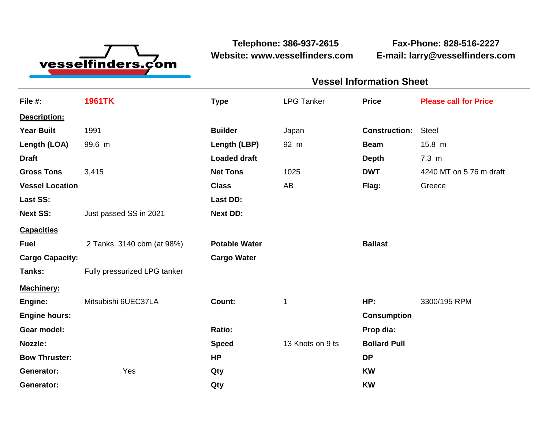

**Website: www.vesselfinders.com E-mail: larry@vesselfinders.com**

**Telephone: 386-937-2615 Fax-Phone: 828-516-2227**

| <b>Vessel Information Sheet</b>                                                          |  |
|------------------------------------------------------------------------------------------|--|
| LPG Tanker <b>Price</b> Price Please call for Price                                      |  |
|                                                                                          |  |
| <b>Construction:</b> Steel                                                               |  |
| <b>Beam</b> 15.8 m                                                                       |  |
| Depth 7.3 m<br><b>DWT</b> 4240 MT on 5.76 m draft                                        |  |
| Flag: Greece                                                                             |  |
|                                                                                          |  |
|                                                                                          |  |
| Capacities<br>Fuel       2 Tanks, 3140 cbm (at 98%)    Potable Water             Ballast |  |
|                                                                                          |  |
|                                                                                          |  |
|                                                                                          |  |
| HP: 3300/195 RPM                                                                         |  |
| Consumption                                                                              |  |
| Prop dia:                                                                                |  |
| Speed 13 Knots on 9 ts Bollard Pull                                                      |  |
|                                                                                          |  |
|                                                                                          |  |